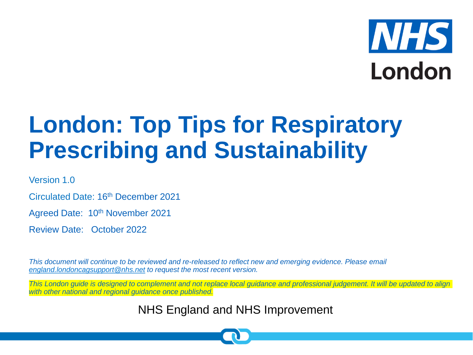# **NHS** London

## **London: Top Tips for Respiratory Prescribing and Sustainability**

Version 1.0

Circulated Date: 16th December 2021

Agreed Date: 10th November 2021

Review Date: October 2022

*This document will continue to be reviewed and re-released to reflect new and emerging evidence. Please email [england.londoncagsupport@nhs.net](mailto:england.londoncagsupport@nhs.net) to request the most recent version.* 

*This London guide is designed to complement and not replace local guidance and professional judgement. It will be updated to align with other national and regional guidance once published.*

NHS England and NHS Improvement

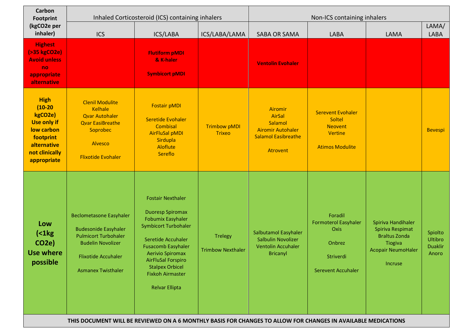| <b>Carbon</b><br><b>Footprint</b><br>(kgCO2e per<br>inhaler)                                                                         | Inhaled Corticosteroid (ICS) containing inhalers                                                                                                                                                                                                                                                     |                                                                                                                                                                                                                                                                                                         |                                            | Non-ICS containing inhalers                                                                               |                                                                                                    |                                                                                                                   |                                               |
|--------------------------------------------------------------------------------------------------------------------------------------|------------------------------------------------------------------------------------------------------------------------------------------------------------------------------------------------------------------------------------------------------------------------------------------------------|---------------------------------------------------------------------------------------------------------------------------------------------------------------------------------------------------------------------------------------------------------------------------------------------------------|--------------------------------------------|-----------------------------------------------------------------------------------------------------------|----------------------------------------------------------------------------------------------------|-------------------------------------------------------------------------------------------------------------------|-----------------------------------------------|
|                                                                                                                                      | <b>ICS</b>                                                                                                                                                                                                                                                                                           | ICS/LABA                                                                                                                                                                                                                                                                                                | ICS/LABA/LAMA                              | SABA OR SAMA                                                                                              | <b>LABA</b>                                                                                        | LAMA                                                                                                              | LAMA/<br><b>LABA</b>                          |
| <b>Highest</b><br>(>35 kgCO <sub>2e</sub> )<br><b>Avoid unless</b><br>no<br>appropriate<br>alternative                               |                                                                                                                                                                                                                                                                                                      | <b>Flutiform pMDI</b><br>& K-haler<br><b>Symbicort pMDI</b>                                                                                                                                                                                                                                             |                                            | <b>Ventolin Evohaler</b>                                                                                  |                                                                                                    |                                                                                                                   |                                               |
| <b>High</b><br>$(10-20)$<br>kgCO2e)<br><b>Use only if</b><br>low carbon<br>footprint<br>alternative<br>not clinically<br>appropriate | <b>Clenil Modulite</b><br><b>Kelhale</b><br><b>Qvar Autohaler</b><br><b>Qvar EasiBreathe</b><br>Soprobec<br>Alvesco<br><b>Flixotide Evohaler</b>                                                                                                                                                     | <b>Fostair pMDI</b><br>Seretide Evohaler<br>Combisal<br><b>AirFluSal pMDI</b><br>Sirdupla<br>Aloflute<br>Sereflo                                                                                                                                                                                        | <b>Trimbow pMDI</b><br><b>Trixeo</b>       | Airomir<br><b>AirSal</b><br>Salamol<br><b>Airomir Autohaler</b><br><b>Salamol Easibreathe</b><br>Atrovent | <b>Serevent Evohaler</b><br>Soltel<br><b>Neovent</b><br><b>Vertine</b><br><b>Atimos Modulite</b>   |                                                                                                                   | <b>Bevespi</b>                                |
| Low<br>$\left( < 1 \text{kg} \right)$<br><b>CO2e)</b><br><b>Use where</b><br>possible                                                | <b>Beclometasone Easyhaler</b><br><b>Budesonide Easyhaler</b><br><b>Pulmicort Turbohaler</b><br><b>Budelin Novolizer</b><br><b>Flixotide Accuhaler</b><br><b>Asmanex Twisthaler</b><br>THIS DOCUMENT WILL BE REVIEWED ON A 6 MONTHLY BASIS FOR CHANGES TO ALLOW FOR CHANGES IN AVAILABLE MEDICATIONS | <b>Fostair Nexthaler</b><br><b>Duoresp Spiromax</b><br><b>Fobumix Easyhaler</b><br><b>Symbicort Turbohaler</b><br>Seretide Accuhaler<br><b>Fusacomb Easyhaler</b><br><b>Aerivio Spiromax</b><br><b>AirFluSal Forspiro</b><br><b>Stalpex Orbicel</b><br><b>Fixkoh Airmaster</b><br><b>Relvar Ellipta</b> | <b>Trelegy</b><br><b>Trimbow Nexthaler</b> | Salbutamol Easyhaler<br>Salbulin Novolizer<br><b>Ventolin Accuhaler</b><br><b>Bricanyl</b>                | Foradil<br><b>Formoterol Easyhaler</b><br>Oxis<br>Onbrez<br>Striverdi<br><b>Serevent Accuhaler</b> | Spiriva Handihaler<br>Spiriva Respimat<br><b>Braltus Zonda</b><br>Tiogiva<br><b>Acopair NeumoHaler</b><br>Incruse | Spiolto<br>Ultibro<br><b>Duaklir</b><br>Anoro |